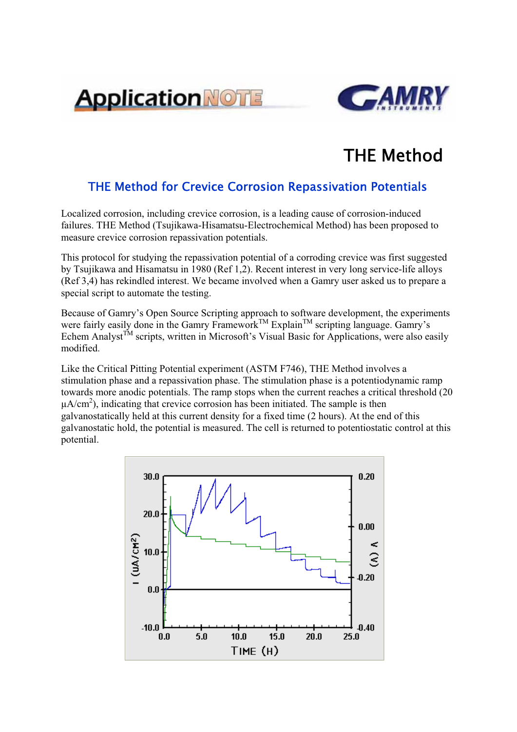



## THE Method

## THE Method for Crevice Corrosion Repassivation Potentials

Localized corrosion, including crevice corrosion, is a leading cause of corrosion-induced failures. THE Method (Tsujikawa-Hisamatsu-Electrochemical Method) has been proposed to measure crevice corrosion repassivation potentials.

This protocol for studying the repassivation potential of a corroding crevice was first suggested by Tsujikawa and Hisamatsu in 1980 (Ref 1,2). Recent interest in very long service-life alloys (Ref 3,4) has rekindled interest. We became involved when a Gamry user asked us to prepare a special script to automate the testing.

Because of Gamry's Open Source Scripting approach to software development, the experiments were fairly easily done in the Gamry Framework<sup>TM</sup> Explain<sup>TM</sup> scripting language. Gamry's Echem Analyst<sup>TM</sup> scripts, written in Microsoft's Visual Basic for Applications, were also easily modified.

Like the Critical Pitting Potential experiment (ASTM F746), THE Method involves a stimulation phase and a repassivation phase. The stimulation phase is a potentiodynamic ramp towards more anodic potentials. The ramp stops when the current reaches a critical threshold (20  $\mu A/cm<sup>2</sup>$ ), indicating that crevice corrosion has been initiated. The sample is then galvanostatically held at this current density for a fixed time (2 hours). At the end of this galvanostatic hold, the potential is measured. The cell is returned to potentiostatic control at this potential.